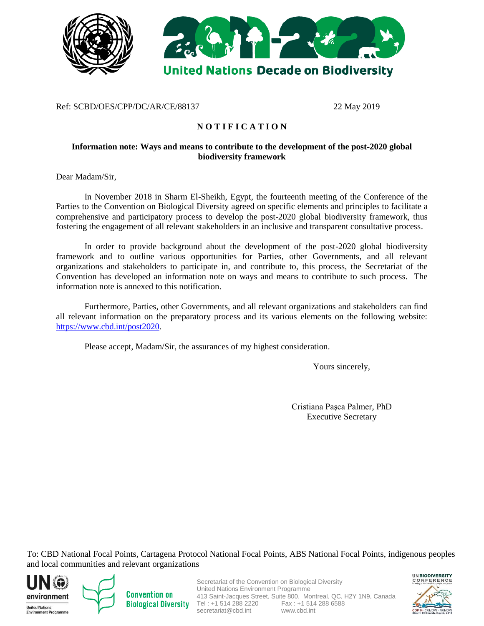

### Ref: SCBD/OES/CPP/DC/AR/CE/88137 22 May 2019

# **N O T I F I C A T I O N**

#### **Information note: Ways and means to contribute to the development of the post-2020 global biodiversity framework**

Dear Madam/Sir,

In November 2018 in Sharm El-Sheikh, Egypt, the fourteenth meeting of the Conference of the Parties to the Convention on Biological Diversity agreed on specific elements and principles to facilitate a comprehensive and participatory process to develop the post-2020 global biodiversity framework, thus fostering the engagement of all relevant stakeholders in an inclusive and transparent consultative process.

In order to provide background about the development of the post-2020 global biodiversity framework and to outline various opportunities for Parties, other Governments, and all relevant organizations and stakeholders to participate in, and contribute to, this process, the Secretariat of the Convention has developed an information note on ways and means to contribute to such process. The information note is annexed to this notification.

Furthermore, Parties, other Governments, and all relevant organizations and stakeholders can find all relevant information on the preparatory process and its various elements on the following website: [https://www.cbd.int/post2020.](https://www.cbd.int/post2020)

Please accept, Madam/Sir, the assurances of my highest consideration.

Yours sincerely,

Cristiana Paşca Palmer, PhD Executive Secretary

To: CBD National Focal Points, Cartagena Protocol National Focal Points, ABS National Focal Points, indigenous peoples and local communities and relevant organizations





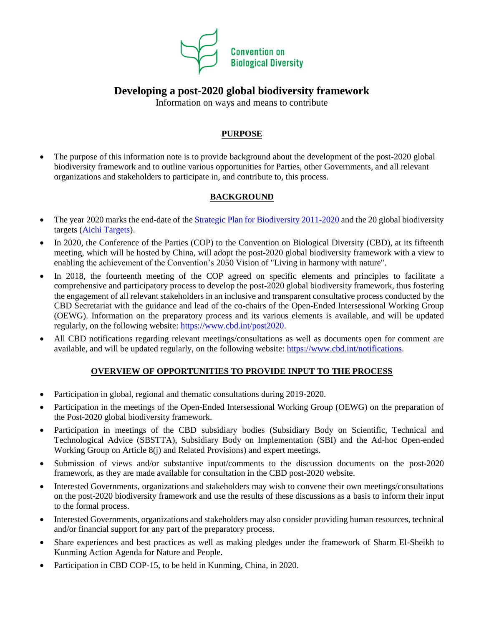

# **Developing a post-2020 global biodiversity framework**

Information on ways and means to contribute

# **PURPOSE**

• The purpose of this information note is to provide background about the development of the post-2020 global biodiversity framework and to outline various opportunities for Parties, other Governments, and all relevant organizations and stakeholders to participate in, and contribute to, this process.

# **BACKGROUND**

- The year 2020 marks the end-date of the [Strategic Plan for Biodiversity 2011-2020](https://www.cbd.int/sp/) and the 20 global biodiversity targets [\(Aichi Targets\)](https://www.cbd.int/sp/targets/default.shtml).
- In 2020, the Conference of the Parties (COP) to the Convention on Biological Diversity (CBD), at its fifteenth meeting, which will be hosted by China, will adopt the post-2020 global biodiversity framework with a view to enabling the achievement of the Convention's 2050 Vision of "Living in harmony with nature".
- In 2018, the fourteenth meeting of the COP agreed on specific elements and principles to facilitate a comprehensive and participatory process to develop the post-2020 global biodiversity framework, thus fostering the engagement of all relevant stakeholders in an inclusive and transparent consultative process conducted by the CBD Secretariat with the guidance and lead of the co-chairs of the Open-Ended Intersessional Working Group (OEWG). Information on the preparatory process and its various elements is available, and will be updated regularly, on the following website: [https://www.cbd.int/post2020.](https://www.cbd.int/post2020)
- All CBD notifications regarding relevant meetings/consultations as well as documents open for comment are available, and will be updated regularly, on the following website: [https://www.cbd.int/notifications.](https://www.cbd.int/notifications)

# **OVERVIEW OF OPPORTUNITIES TO PROVIDE INPUT TO THE PROCESS**

- Participation in global, regional and thematic consultations during 2019-2020.
- Participation in the meetings of the Open-Ended Intersessional Working Group (OEWG) on the preparation of the Post-2020 global biodiversity framework.
- Participation in meetings of the CBD subsidiary bodies (Subsidiary Body on Scientific, Technical and Technological Advice (SBSTTA), Subsidiary Body on Implementation (SBI) and the Ad-hoc Open-ended Working Group on Article 8(j) and Related Provisions) and expert meetings.
- Submission of views and/or substantive input/comments to the discussion documents on the post-2020 framework, as they are made available for consultation in the CBD post-2020 website.
- Interested Governments, organizations and stakeholders may wish to convene their own meetings/consultations on the post-2020 biodiversity framework and use the results of these discussions as a basis to inform their input to the formal process.
- Interested Governments, organizations and stakeholders may also consider providing human resources, technical and/or financial support for any part of the preparatory process.
- Share experiences and best practices as well as making pledges under the framework of Sharm El-Sheikh to Kunming Action Agenda for Nature and People.
- Participation in CBD COP-15, to be held in Kunming, China, in 2020.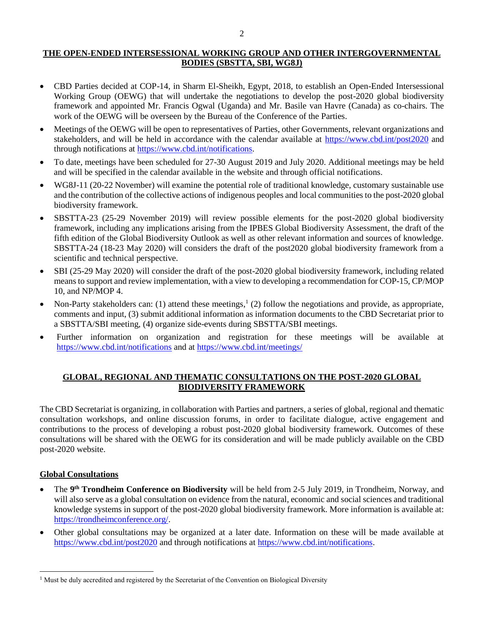### **THE OPEN-ENDED INTERSESSIONAL WORKING GROUP AND OTHER INTERGOVERNMENTAL BODIES (SBSTTA, SBI, WG8J)**

- CBD Parties decided at COP-14, in Sharm El-Sheikh, Egypt, 2018, to establish an Open-Ended Intersessional Working Group (OEWG) that will undertake the negotiations to develop the post-2020 global biodiversity framework and appointed Mr. Francis Ogwal (Uganda) and Mr. Basile van Havre (Canada) as co-chairs. The work of the OEWG will be overseen by the Bureau of the Conference of the Parties.
- Meetings of the OEWG will be open to representatives of Parties, other Governments, relevant organizations and stakeholders, and will be held in accordance with the calendar available at<https://www.cbd.int/post2020> and through notifications at [https://www.cbd.int/notifications.](https://www.cbd.int/notifications)
- To date, meetings have been scheduled for 27-30 August 2019 and July 2020. Additional meetings may be held and will be specified in the calendar available in the website and through official notifications.
- WG8J-11 (20-22 November) will examine the potential role of traditional knowledge, customary sustainable use and the contribution of the collective actions of indigenous peoples and local communities to the post-2020 global biodiversity framework.
- SBSTTA-23 (25-29 November 2019) will review possible elements for the post-2020 global biodiversity framework, including any implications arising from the IPBES Global Biodiversity Assessment, the draft of the fifth edition of the Global Biodiversity Outlook as well as other relevant information and sources of knowledge. SBSTTA-24 (18-23 May 2020) will considers the draft of the post2020 global biodiversity framework from a scientific and technical perspective.
- SBI (25-29 May 2020) will consider the draft of the post-2020 global biodiversity framework, including related means to support and review implementation, with a view to developing a recommendation for COP-15, CP/MOP 10, and NP/MOP 4.
- Non-Party stakeholders can: (1) attend these meetings,<sup>1</sup> (2) follow the negotiations and provide, as appropriate, comments and input, (3) submit additional information as information documents to the CBD Secretariat prior to a SBSTTA/SBI meeting, (4) organize side-events during SBSTTA/SBI meetings.
- Further information on organization and registration for these meetings will be available at <https://www.cbd.int/notifications> and at<https://www.cbd.int/meetings/>

### **GLOBAL, REGIONAL AND THEMATIC CONSULTATIONS ON THE POST-2020 GLOBAL BIODIVERSITY FRAMEWORK**

The CBD Secretariat is organizing, in collaboration with Parties and partners, a series of global, regional and thematic consultation workshops, and online discussion forums, in order to facilitate dialogue, active engagement and contributions to the process of developing a robust post-2020 global biodiversity framework. Outcomes of these consultations will be shared with the OEWG for its consideration and will be made publicly available on the CBD post-2020 website.

#### **Global Consultations**

 $\overline{a}$ 

- The 9<sup>th</sup> Trondheim Conference on Biodiversity will be held from 2-5 July 2019, in Trondheim, Norway, and will also serve as a global consultation on evidence from the natural, economic and social sciences and traditional knowledge systems in support of the post-2020 global biodiversity framework. More information is available at: [https://trondheimconference.org/.](https://trondheimconference.org/)
- Other global consultations may be organized at a later date. Information on these will be made available at <https://www.cbd.int/post2020> and through notifications at [https://www.cbd.int/notifications.](https://www.cbd.int/notifications)

<sup>&</sup>lt;sup>1</sup> Must be duly accredited and registered by the Secretariat of the Convention on Biological Diversity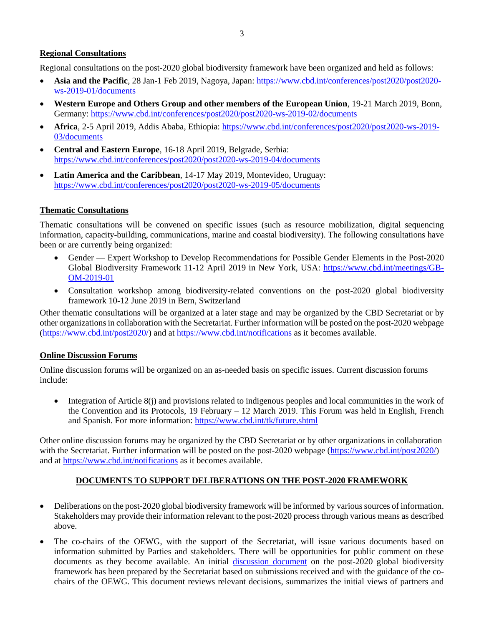#### **Regional Consultations**

Regional consultations on the post-2020 global biodiversity framework have been organized and held as follows:

- **Asia and the Pacific**, 28 Jan-1 Feb 2019, Nagoya, Japan[: https://www.cbd.int/conferences/post2020/post2020](https://www.cbd.int/conferences/post2020/post2020-ws-2019-01/documents) [ws-2019-01/documents](https://www.cbd.int/conferences/post2020/post2020-ws-2019-01/documents)
- **Western Europe and Others Group and other members of the European Union**, 19-21 March 2019, Bonn, Germany:<https://www.cbd.int/conferences/post2020/post2020-ws-2019-02/documents>
- **Africa**, 2-5 April 2019, Addis Ababa, Ethiopia: [https://www.cbd.int/conferences/post2020/post2020-ws-2019-](https://www.cbd.int/conferences/post2020/post2020-ws-2019-03/documents) [03/documents](https://www.cbd.int/conferences/post2020/post2020-ws-2019-03/documents)
- **Central and Eastern Europe**, 16-18 April 2019, Belgrade, Serbia: <https://www.cbd.int/conferences/post2020/post2020-ws-2019-04/documents>
- **Latin America and the Caribbean**, 14-17 May 2019, Montevideo, Uruguay: <https://www.cbd.int/conferences/post2020/post2020-ws-2019-05/documents>

### **Thematic Consultations**

Thematic consultations will be convened on specific issues (such as resource mobilization, digital sequencing information, capacity-building, communications, marine and coastal biodiversity). The following consultations have been or are currently being organized:

- Gender Expert Workshop to Develop Recommendations for Possible Gender Elements in the Post-2020 Global Biodiversity Framework 11-12 April 2019 in New York, USA: [https://www.cbd.int/meetings/GB-](https://www.cbd.int/meetings/GB-OM-2019-01)[OM-2019-01](https://www.cbd.int/meetings/GB-OM-2019-01)
- Consultation workshop among biodiversity-related conventions on the post-2020 global biodiversity framework 10-12 June 2019 in Bern, Switzerland

Other thematic consultations will be organized at a later stage and may be organized by the CBD Secretariat or by other organizations in collaboration with the Secretariat. Further information will be posted on the post-2020 webpage [\(https://www.cbd.int/post2020/\)](https://www.cbd.int/post2020/) and a[t https://www.cbd.int/notifications](https://www.cbd.int/notifications) as it becomes available.

#### **Online Discussion Forums**

Online discussion forums will be organized on an as-needed basis on specific issues. Current discussion forums include:

• Integration of Article 8(j) and provisions related to indigenous peoples and local communities in the work of the Convention and its Protocols, 19 February – 12 March 2019. This Forum was held in English, French and Spanish. For more information:<https://www.cbd.int/tk/future.shtml>

Other online discussion forums may be organized by the CBD Secretariat or by other organizations in collaboration with the Secretariat. Further information will be posted on the post-2020 webpage [\(https://www.cbd.int/post2020/\)](https://www.cbd.int/post2020/) and at<https://www.cbd.int/notifications> as it becomes available.

# **DOCUMENTS TO SUPPORT DELIBERATIONS ON THE POST-2020 FRAMEWORK**

- Deliberations on the post-2020 global biodiversity framework will be informed by various sources of information. Stakeholders may provide their information relevant to the post-2020 process through various means as described above.
- The co-chairs of the OEWG, with the support of the Secretariat, will issue various documents based on information submitted by Parties and stakeholders. There will be opportunities for public comment on these documents as they become available. An initial [discussion document](https://www.cbd.int/doc/c/d431/b38f/3d580bb73e7c2b5aaa286310/post2020-prep-01-01-en.pdf) on the post-2020 global biodiversity framework has been prepared by the Secretariat based on submissions received and with the guidance of the cochairs of the OEWG. This document reviews relevant decisions, summarizes the initial views of partners and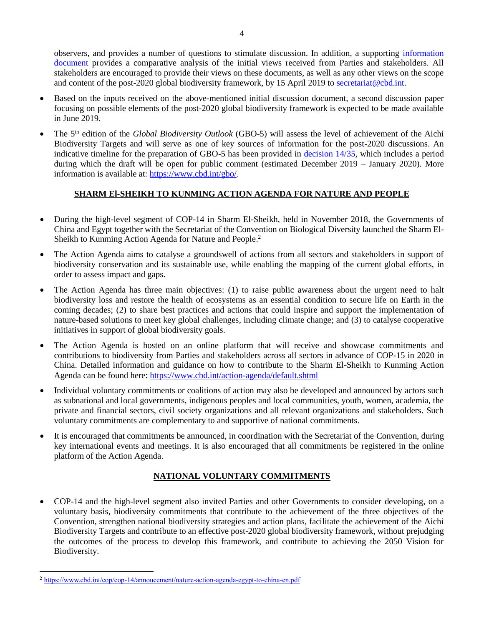observers, and provides a number of questions to stimulate discussion. In addition, a supporting [information](https://www.cbd.int/doc/c/de9c/8c12/7c0cb88a47f9084e5d0b82eb/post2020-prep-01-inf-01-en.pdf)  [document](https://www.cbd.int/doc/c/de9c/8c12/7c0cb88a47f9084e5d0b82eb/post2020-prep-01-inf-01-en.pdf) provides a comparative analysis of the initial views received from Parties and stakeholders. All stakeholders are encouraged to provide their views on these documents, as well as any other views on the scope and content of the post-2020 global biodiversity framework, by 15 April 2019 to [secretariat@cbd.int.](mailto:secretariat@cbd.int)

- Based on the inputs received on the above-mentioned initial discussion document, a second discussion paper focusing on possible elements of the post-2020 global biodiversity framework is expected to be made available in June 2019.
- The 5th edition of the *Global Biodiversity Outlook* (GBO-5) will assess the level of achievement of the Aichi Biodiversity Targets and will serve as one of key sources of information for the post-2020 discussions. An indicative timeline for the preparation of GBO-5 has been provided in decision  $14/35$ , which includes a period during which the draft will be open for public comment (estimated December 2019 – January 2020). More information is available at: [https://www.cbd.int/gbo/.](https://www.cbd.int/gbo/)

# **SHARM El-SHEIKH TO KUNMING ACTION AGENDA FOR NATURE AND PEOPLE**

- During the high-level segment of COP-14 in Sharm El-Sheikh, held in November 2018, the Governments of China and Egypt together with the Secretariat of the Convention on Biological Diversity launched the Sharm El-Sheikh to Kunming Action Agenda for Nature and People. 2
- The Action Agenda aims to catalyse a groundswell of actions from all sectors and stakeholders in support of biodiversity conservation and its sustainable use, while enabling the mapping of the current global efforts, in order to assess impact and gaps.
- The Action Agenda has three main objectives: (1) to raise public awareness about the urgent need to halt biodiversity loss and restore the health of ecosystems as an essential condition to secure life on Earth in the coming decades; (2) to share best practices and actions that could inspire and support the implementation of nature-based solutions to meet key global challenges, including climate change; and (3) to catalyse cooperative initiatives in support of global biodiversity goals.
- The Action Agenda is hosted on an online platform that will receive and showcase commitments and contributions to biodiversity from Parties and stakeholders across all sectors in advance of COP-15 in 2020 in China. Detailed information and guidance on how to contribute to the Sharm El-Sheikh to Kunming Action Agenda can be found here:<https://www.cbd.int/action-agenda/default.shtml>
- Individual voluntary commitments or coalitions of action may also be developed and announced by actors such as subnational and local governments, indigenous peoples and local communities, youth, women, academia, the private and financial sectors, civil society organizations and all relevant organizations and stakeholders. Such voluntary commitments are complementary to and supportive of national commitments.
- It is encouraged that commitments be announced, in coordination with the Secretariat of the Convention, during key international events and meetings. It is also encouraged that all commitments be registered in the online platform of the Action Agenda.

# **NATIONAL VOLUNTARY COMMITMENTS**

• COP-14 and the high-level segment also invited Parties and other Governments to consider developing, on a voluntary basis, biodiversity commitments that contribute to the achievement of the three objectives of the Convention, strengthen national biodiversity strategies and action plans, facilitate the achievement of the Aichi Biodiversity Targets and contribute to an effective post-2020 global biodiversity framework, without prejudging the outcomes of the process to develop this framework, and contribute to achieving the 2050 Vision for Biodiversity.

 $\overline{a}$ <sup>2</sup> <https://www.cbd.int/cop/cop-14/annoucement/nature-action-agenda-egypt-to-china-en.pdf>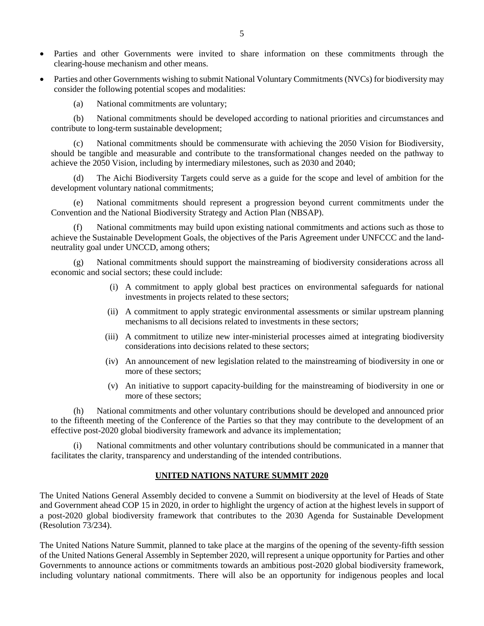- Parties and other Governments were invited to share information on these commitments through the clearing-house mechanism and other means.
- Parties and other Governments wishing to submit National Voluntary Commitments (NVCs) for biodiversity may consider the following potential scopes and modalities:

(a) National commitments are voluntary;

(b) National commitments should be developed according to national priorities and circumstances and contribute to long-term sustainable development;

(c) National commitments should be commensurate with achieving the 2050 Vision for Biodiversity, should be tangible and measurable and contribute to the transformational changes needed on the pathway to achieve the 2050 Vision, including by intermediary milestones, such as 2030 and 2040;

(d) The Aichi Biodiversity Targets could serve as a guide for the scope and level of ambition for the development voluntary national commitments;

(e) National commitments should represent a progression beyond current commitments under the Convention and the National Biodiversity Strategy and Action Plan (NBSAP).

National commitments may build upon existing national commitments and actions such as those to achieve the Sustainable Development Goals, the objectives of the Paris Agreement under UNFCCC and the landneutrality goal under UNCCD, among others;

National commitments should support the mainstreaming of biodiversity considerations across all economic and social sectors; these could include:

- (i) A commitment to apply global best practices on environmental safeguards for national investments in projects related to these sectors;
- (ii) A commitment to apply strategic environmental assessments or similar upstream planning mechanisms to all decisions related to investments in these sectors;
- (iii) A commitment to utilize new inter-ministerial processes aimed at integrating biodiversity considerations into decisions related to these sectors;
- (iv) An announcement of new legislation related to the mainstreaming of biodiversity in one or more of these sectors;
- (v) An initiative to support capacity-building for the mainstreaming of biodiversity in one or more of these sectors;

(h) National commitments and other voluntary contributions should be developed and announced prior to the fifteenth meeting of the Conference of the Parties so that they may contribute to the development of an effective post-2020 global biodiversity framework and advance its implementation;

(i) National commitments and other voluntary contributions should be communicated in a manner that facilitates the clarity, transparency and understanding of the intended contributions.

# **UNITED NATIONS NATURE SUMMIT 2020**

The United Nations General Assembly decided to convene a Summit on biodiversity at the level of Heads of State and Government ahead COP 15 in 2020, in order to highlight the urgency of action at the highest levels in support of a post-2020 global biodiversity framework that contributes to the 2030 Agenda for Sustainable Development (Resolution 73/234).

The United Nations Nature Summit, planned to take place at the margins of the opening of the seventy-fifth session of the United Nations General Assembly in September 2020, will represent a unique opportunity for Parties and other Governments to announce actions or commitments towards an ambitious post-2020 global biodiversity framework, including voluntary national commitments. There will also be an opportunity for indigenous peoples and local